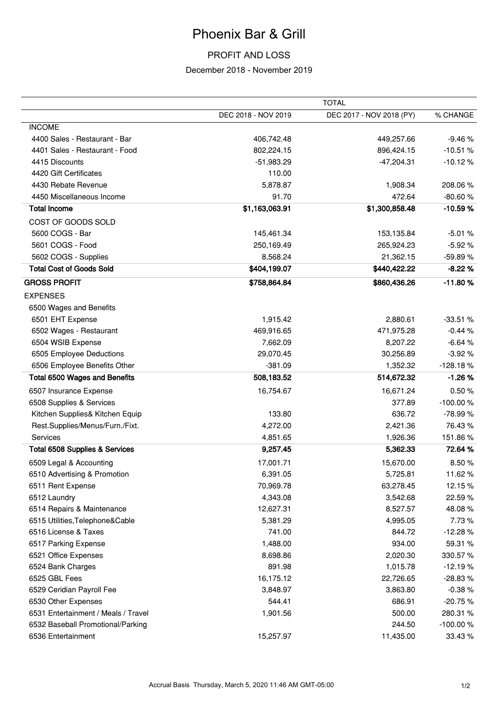# Phoenix Bar & Grill

### PROFIT AND LOSS

#### December 2018 - November 2019

|                                           | <b>TOTAL</b>        |                          |            |
|-------------------------------------------|---------------------|--------------------------|------------|
|                                           | DEC 2018 - NOV 2019 | DEC 2017 - NOV 2018 (PY) | % CHANGE   |
| <b>INCOME</b>                             |                     |                          |            |
| 4400 Sales - Restaurant - Bar             | 406,742.48          | 449,257.66               | $-9.46%$   |
| 4401 Sales - Restaurant - Food            | 802,224.15          | 896,424.15               | $-10.51%$  |
| 4415 Discounts                            | $-51,983.29$        | $-47,204.31$             | $-10.12%$  |
| 4420 Gift Certificates                    | 110.00              |                          |            |
| 4430 Rebate Revenue                       | 5,878.87            | 1,908.34                 | 208.06%    |
| 4450 Miscellaneous Income                 | 91.70               | 472.64                   | $-80.60%$  |
| <b>Total Income</b>                       | \$1,163,063.91      | \$1,300,858.48           | $-10.59%$  |
| COST OF GOODS SOLD                        |                     |                          |            |
| 5600 COGS - Bar                           | 145,461.34          | 153,135.84               | $-5.01%$   |
| 5601 COGS - Food                          | 250,169.49          | 265,924.23               | $-5.92%$   |
| 5602 COGS - Supplies                      | 8,568.24            | 21,362.15                | -59.89%    |
| <b>Total Cost of Goods Sold</b>           | \$404,199.07        | \$440,422.22             | $-8.22%$   |
| <b>GROSS PROFIT</b>                       | \$758,864.84        | \$860,436.26             | $-11.80%$  |
| <b>EXPENSES</b>                           |                     |                          |            |
| 6500 Wages and Benefits                   |                     |                          |            |
| 6501 EHT Expense                          | 1,915.42            | 2,880.61                 | $-33.51%$  |
| 6502 Wages - Restaurant                   | 469,916.65          | 471,975.28               | $-0.44%$   |
| 6504 WSIB Expense                         | 7,662.09            | 8,207.22                 | $-6.64%$   |
| 6505 Employee Deductions                  | 29,070.45           | 30,256.89                | $-3.92%$   |
| 6506 Employee Benefits Other              | $-381.09$           | 1,352.32                 | $-128.18%$ |
| <b>Total 6500 Wages and Benefits</b>      | 508,183.52          | 514,672.32               | $-1.26%$   |
| 6507 Insurance Expense                    | 16,754.67           | 16,671.24                | 0.50%      |
| 6508 Supplies & Services                  |                     | 377.89                   | $-100.00%$ |
| Kitchen Supplies& Kitchen Equip           | 133.80              | 636.72                   | -78.99%    |
| Rest.Supplies/Menus/Furn./Fixt.           | 4,272.00            | 2,421.36                 | 76.43%     |
| Services                                  | 4,851.65            | 1,926.36                 | 151.86%    |
| <b>Total 6508 Supplies &amp; Services</b> | 9,257.45            | 5,362.33                 | 72.64%     |
| 6509 Legal & Accounting                   | 17,001.71           | 15,670.00                | 8.50%      |
| 6510 Advertising & Promotion              | 6,391.05            | 5,725.81                 | 11.62%     |
| 6511 Rent Expense                         | 70,969.78           | 63,278.45                | 12.15%     |
| 6512 Laundry                              | 4,343.08            | 3,542.68                 | 22.59 %    |
| 6514 Repairs & Maintenance                | 12,627.31           | 8,527.57                 | 48.08%     |
| 6515 Utilities, Telephone& Cable          | 5,381.29            | 4,995.05                 | 7.73 %     |
| 6516 License & Taxes                      | 741.00              | 844.72                   | $-12.28%$  |
| 6517 Parking Expense                      | 1,488.00            | 934.00                   | 59.31 %    |
| 6521 Office Expenses                      | 8,698.86            | 2,020.30                 | 330.57%    |
| 6524 Bank Charges                         | 891.98              | 1,015.78                 | $-12.19%$  |
| 6525 GBL Fees                             | 16,175.12           | 22,726.65                | $-28.83%$  |
| 6529 Ceridian Payroll Fee                 | 3,848.97            | 3,863.80                 | $-0.38%$   |
| 6530 Other Expenses                       | 544.41              | 686.91                   | $-20.75%$  |
| 6531 Entertainment / Meals / Travel       | 1,901.56            | 500.00                   | 280.31 %   |
| 6532 Baseball Promotional/Parking         |                     | 244.50                   | $-100.00%$ |
| 6536 Entertainment                        | 15,257.97           | 11,435.00                | 33.43 %    |